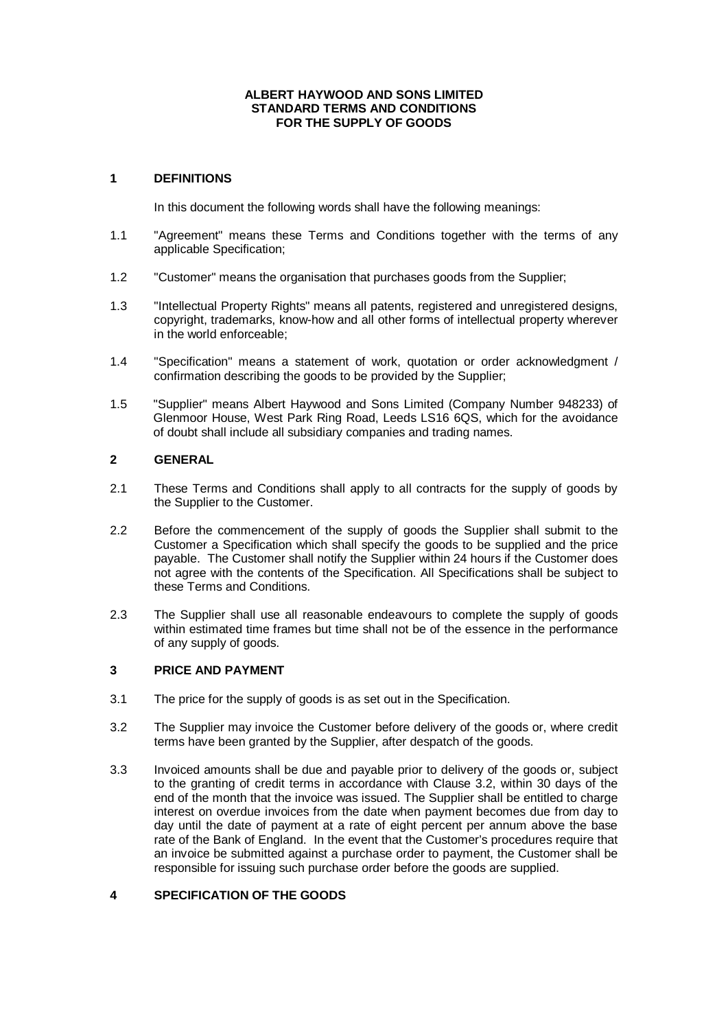#### **ALBERT HAYWOOD AND SONS LIMITED STANDARD TERMS AND CONDITIONS FOR THE SUPPLY OF GOODS**

# **1 DEFINITIONS**

In this document the following words shall have the following meanings:

- 1.1 "Agreement" means these Terms and Conditions together with the terms of any applicable Specification;
- 1.2 "Customer" means the organisation that purchases goods from the Supplier;
- 1.3 "Intellectual Property Rights" means all patents, registered and unregistered designs, copyright, trademarks, know-how and all other forms of intellectual property wherever in the world enforceable;
- 1.4 "Specification" means a statement of work, quotation or order acknowledgment / confirmation describing the goods to be provided by the Supplier;
- 1.5 "Supplier" means Albert Haywood and Sons Limited (Company Number 948233) of Glenmoor House, West Park Ring Road, Leeds LS16 6QS, which for the avoidance of doubt shall include all subsidiary companies and trading names.

# **2 GENERAL**

- 2.1 These Terms and Conditions shall apply to all contracts for the supply of goods by the Supplier to the Customer.
- 2.2 Before the commencement of the supply of goods the Supplier shall submit to the Customer a Specification which shall specify the goods to be supplied and the price payable. The Customer shall notify the Supplier within 24 hours if the Customer does not agree with the contents of the Specification. All Specifications shall be subject to these Terms and Conditions.
- 2.3 The Supplier shall use all reasonable endeavours to complete the supply of goods within estimated time frames but time shall not be of the essence in the performance of any supply of goods.

# **3 PRICE AND PAYMENT**

- 3.1 The price for the supply of goods is as set out in the Specification.
- 3.2 The Supplier may invoice the Customer before delivery of the goods or, where credit terms have been granted by the Supplier, after despatch of the goods.
- 3.3 Invoiced amounts shall be due and payable prior to delivery of the goods or, subject to the granting of credit terms in accordance with Clause 3.2, within 30 days of the end of the month that the invoice was issued. The Supplier shall be entitled to charge interest on overdue invoices from the date when payment becomes due from day to day until the date of payment at a rate of eight percent per annum above the base rate of the Bank of England. In the event that the Customer's procedures require that an invoice be submitted against a purchase order to payment, the Customer shall be responsible for issuing such purchase order before the goods are supplied.

# **4 SPECIFICATION OF THE GOODS**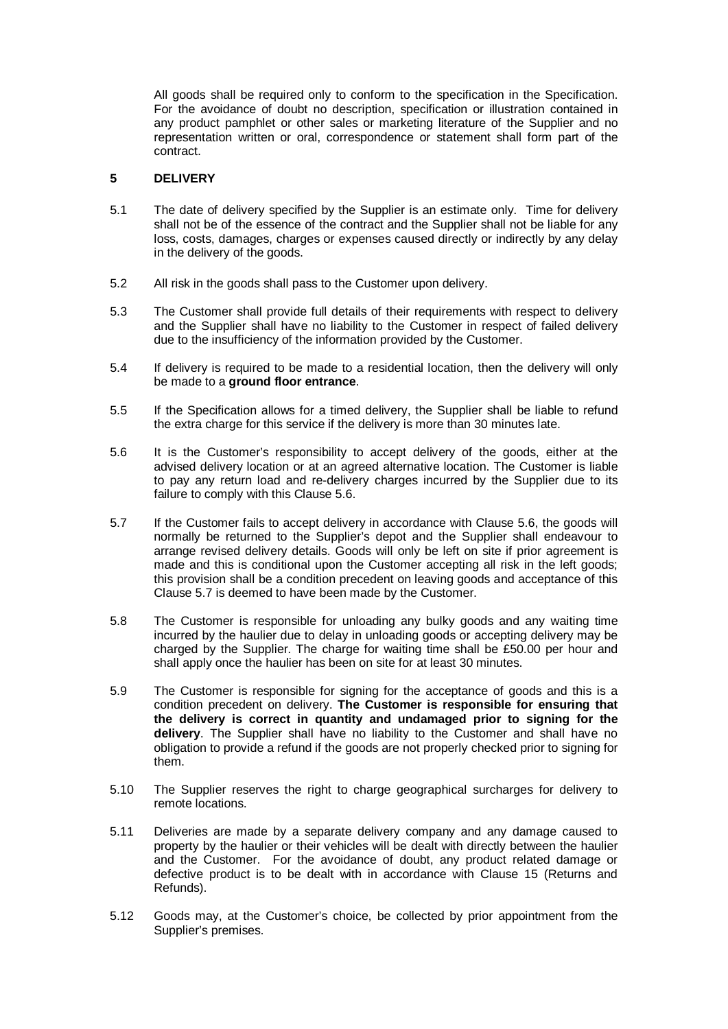All goods shall be required only to conform to the specification in the Specification. For the avoidance of doubt no description, specification or illustration contained in any product pamphlet or other sales or marketing literature of the Supplier and no representation written or oral, correspondence or statement shall form part of the contract.

# **5 DELIVERY**

- 5.1 The date of delivery specified by the Supplier is an estimate only. Time for delivery shall not be of the essence of the contract and the Supplier shall not be liable for any loss, costs, damages, charges or expenses caused directly or indirectly by any delay in the delivery of the goods.
- 5.2 All risk in the goods shall pass to the Customer upon delivery.
- 5.3 The Customer shall provide full details of their requirements with respect to delivery and the Supplier shall have no liability to the Customer in respect of failed delivery due to the insufficiency of the information provided by the Customer.
- 5.4 If delivery is required to be made to a residential location, then the delivery will only be made to a **ground floor entrance**.
- 5.5 If the Specification allows for a timed delivery, the Supplier shall be liable to refund the extra charge for this service if the delivery is more than 30 minutes late.
- 5.6 It is the Customer's responsibility to accept delivery of the goods, either at the advised delivery location or at an agreed alternative location. The Customer is liable to pay any return load and re-delivery charges incurred by the Supplier due to its failure to comply with this Clause 5.6.
- 5.7 If the Customer fails to accept delivery in accordance with Clause 5.6, the goods will normally be returned to the Supplier's depot and the Supplier shall endeavour to arrange revised delivery details. Goods will only be left on site if prior agreement is made and this is conditional upon the Customer accepting all risk in the left goods; this provision shall be a condition precedent on leaving goods and acceptance of this Clause 5.7 is deemed to have been made by the Customer.
- 5.8 The Customer is responsible for unloading any bulky goods and any waiting time incurred by the haulier due to delay in unloading goods or accepting delivery may be charged by the Supplier. The charge for waiting time shall be £50.00 per hour and shall apply once the haulier has been on site for at least 30 minutes.
- 5.9 The Customer is responsible for signing for the acceptance of goods and this is a condition precedent on delivery. **The Customer is responsible for ensuring that the delivery is correct in quantity and undamaged prior to signing for the delivery**. The Supplier shall have no liability to the Customer and shall have no obligation to provide a refund if the goods are not properly checked prior to signing for them.
- 5.10 The Supplier reserves the right to charge geographical surcharges for delivery to remote locations.
- 5.11 Deliveries are made by a separate delivery company and any damage caused to property by the haulier or their vehicles will be dealt with directly between the haulier and the Customer. For the avoidance of doubt, any product related damage or defective product is to be dealt with in accordance with Clause 15 (Returns and Refunds).
- 5.12 Goods may, at the Customer's choice, be collected by prior appointment from the Supplier's premises.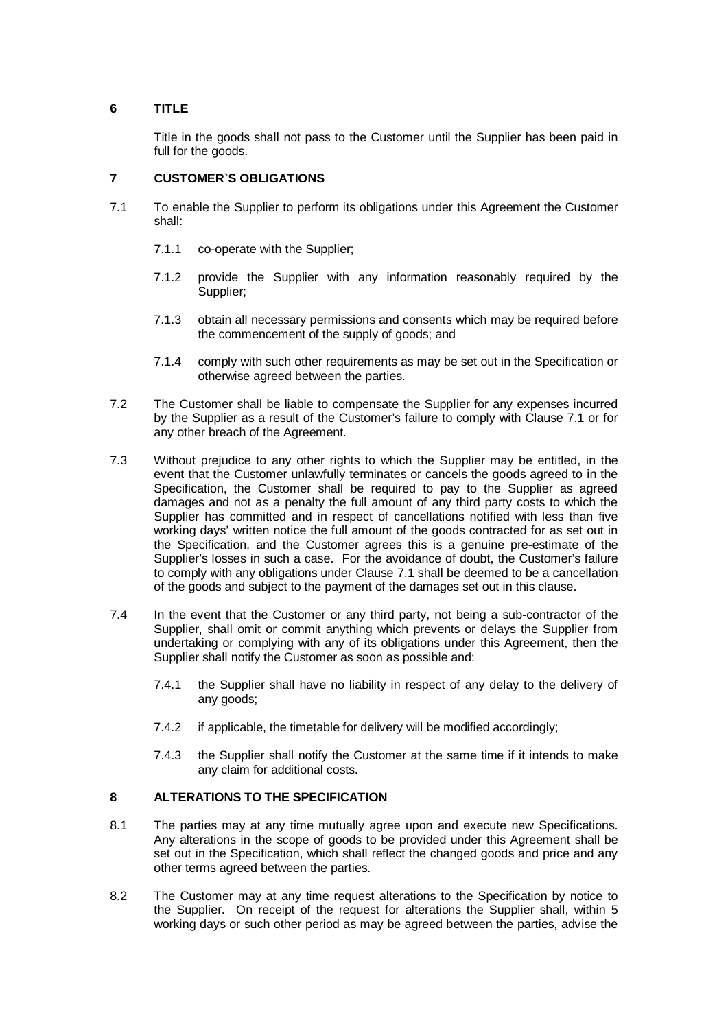# **6 TITLE**

Title in the goods shall not pass to the Customer until the Supplier has been paid in full for the goods.

# **7 CUSTOMER`S OBLIGATIONS**

- 7.1 To enable the Supplier to perform its obligations under this Agreement the Customer shall:
	- 7.1.1 co-operate with the Supplier;
	- 7.1.2 provide the Supplier with any information reasonably required by the Supplier;
	- 7.1.3 obtain all necessary permissions and consents which may be required before the commencement of the supply of goods; and
	- 7.1.4 comply with such other requirements as may be set out in the Specification or otherwise agreed between the parties.
- 7.2 The Customer shall be liable to compensate the Supplier for any expenses incurred by the Supplier as a result of the Customer's failure to comply with Clause 7.1 or for any other breach of the Agreement.
- 7.3 Without prejudice to any other rights to which the Supplier may be entitled, in the event that the Customer unlawfully terminates or cancels the goods agreed to in the Specification, the Customer shall be required to pay to the Supplier as agreed damages and not as a penalty the full amount of any third party costs to which the Supplier has committed and in respect of cancellations notified with less than five working days' written notice the full amount of the goods contracted for as set out in the Specification, and the Customer agrees this is a genuine pre-estimate of the Supplier's losses in such a case. For the avoidance of doubt, the Customer's failure to comply with any obligations under Clause 7.1 shall be deemed to be a cancellation of the goods and subject to the payment of the damages set out in this clause.
- 7.4 In the event that the Customer or any third party, not being a sub-contractor of the Supplier, shall omit or commit anything which prevents or delays the Supplier from undertaking or complying with any of its obligations under this Agreement, then the Supplier shall notify the Customer as soon as possible and:
	- 7.4.1 the Supplier shall have no liability in respect of any delay to the delivery of any goods;
	- 7.4.2 if applicable, the timetable for delivery will be modified accordingly;
	- 7.4.3 the Supplier shall notify the Customer at the same time if it intends to make any claim for additional costs.

# **8 ALTERATIONS TO THE SPECIFICATION**

- 8.1 The parties may at any time mutually agree upon and execute new Specifications. Any alterations in the scope of goods to be provided under this Agreement shall be set out in the Specification, which shall reflect the changed goods and price and any other terms agreed between the parties.
- 8.2 The Customer may at any time request alterations to the Specification by notice to the Supplier. On receipt of the request for alterations the Supplier shall, within 5 working days or such other period as may be agreed between the parties, advise the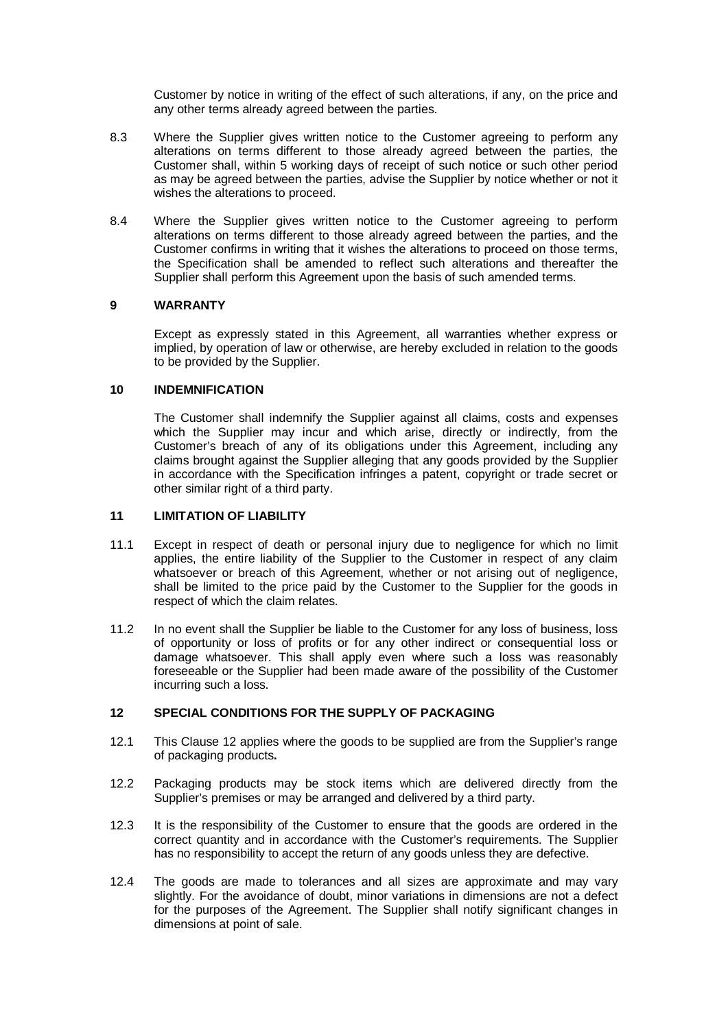Customer by notice in writing of the effect of such alterations, if any, on the price and any other terms already agreed between the parties.

- 8.3 Where the Supplier gives written notice to the Customer agreeing to perform any alterations on terms different to those already agreed between the parties, the Customer shall, within 5 working days of receipt of such notice or such other period as may be agreed between the parties, advise the Supplier by notice whether or not it wishes the alterations to proceed.
- 8.4 Where the Supplier gives written notice to the Customer agreeing to perform alterations on terms different to those already agreed between the parties, and the Customer confirms in writing that it wishes the alterations to proceed on those terms, the Specification shall be amended to reflect such alterations and thereafter the Supplier shall perform this Agreement upon the basis of such amended terms.

# **9 WARRANTY**

Except as expressly stated in this Agreement, all warranties whether express or implied, by operation of law or otherwise, are hereby excluded in relation to the goods to be provided by the Supplier.

#### **10 INDEMNIFICATION**

The Customer shall indemnify the Supplier against all claims, costs and expenses which the Supplier may incur and which arise, directly or indirectly, from the Customer's breach of any of its obligations under this Agreement, including any claims brought against the Supplier alleging that any goods provided by the Supplier in accordance with the Specification infringes a patent, copyright or trade secret or other similar right of a third party.

## **11 LIMITATION OF LIABILITY**

- 11.1 Except in respect of death or personal injury due to negligence for which no limit applies, the entire liability of the Supplier to the Customer in respect of any claim whatsoever or breach of this Agreement, whether or not arising out of negligence, shall be limited to the price paid by the Customer to the Supplier for the goods in respect of which the claim relates.
- 11.2 In no event shall the Supplier be liable to the Customer for any loss of business, loss of opportunity or loss of profits or for any other indirect or consequential loss or damage whatsoever. This shall apply even where such a loss was reasonably foreseeable or the Supplier had been made aware of the possibility of the Customer incurring such a loss.

## **12 SPECIAL CONDITIONS FOR THE SUPPLY OF PACKAGING**

- 12.1 This Clause 12 applies where the goods to be supplied are from the Supplier's range of packaging products**.**
- 12.2 Packaging products may be stock items which are delivered directly from the Supplier's premises or may be arranged and delivered by a third party.
- 12.3 It is the responsibility of the Customer to ensure that the goods are ordered in the correct quantity and in accordance with the Customer's requirements. The Supplier has no responsibility to accept the return of any goods unless they are defective.
- 12.4 The goods are made to tolerances and all sizes are approximate and may vary slightly. For the avoidance of doubt, minor variations in dimensions are not a defect for the purposes of the Agreement. The Supplier shall notify significant changes in dimensions at point of sale.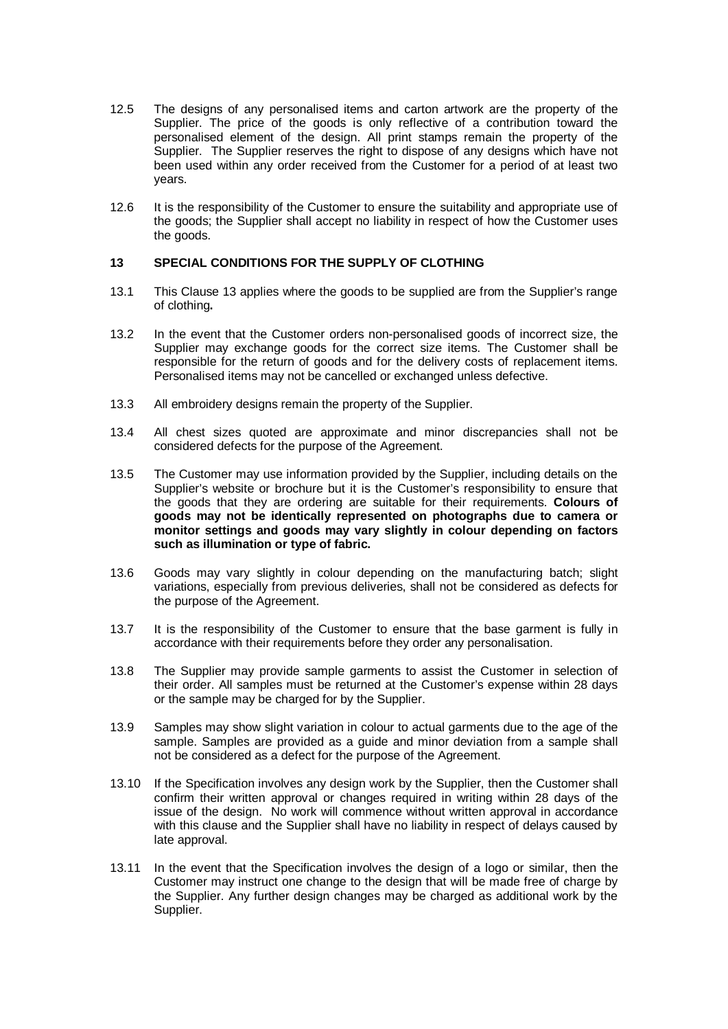- 12.5 The designs of any personalised items and carton artwork are the property of the Supplier. The price of the goods is only reflective of a contribution toward the personalised element of the design. All print stamps remain the property of the Supplier. The Supplier reserves the right to dispose of any designs which have not been used within any order received from the Customer for a period of at least two years.
- 12.6 It is the responsibility of the Customer to ensure the suitability and appropriate use of the goods; the Supplier shall accept no liability in respect of how the Customer uses the goods.

# **13 SPECIAL CONDITIONS FOR THE SUPPLY OF CLOTHING**

- 13.1 This Clause 13 applies where the goods to be supplied are from the Supplier's range of clothing**.**
- 13.2 In the event that the Customer orders non-personalised goods of incorrect size, the Supplier may exchange goods for the correct size items. The Customer shall be responsible for the return of goods and for the delivery costs of replacement items. Personalised items may not be cancelled or exchanged unless defective.
- 13.3 All embroidery designs remain the property of the Supplier.
- 13.4 All chest sizes quoted are approximate and minor discrepancies shall not be considered defects for the purpose of the Agreement.
- 13.5 The Customer may use information provided by the Supplier, including details on the Supplier's website or brochure but it is the Customer's responsibility to ensure that the goods that they are ordering are suitable for their requirements. **Colours of goods may not be identically represented on photographs due to camera or monitor settings and goods may vary slightly in colour depending on factors such as illumination or type of fabric.**
- 13.6 Goods may vary slightly in colour depending on the manufacturing batch; slight variations, especially from previous deliveries, shall not be considered as defects for the purpose of the Agreement.
- 13.7 It is the responsibility of the Customer to ensure that the base garment is fully in accordance with their requirements before they order any personalisation.
- 13.8 The Supplier may provide sample garments to assist the Customer in selection of their order. All samples must be returned at the Customer's expense within 28 days or the sample may be charged for by the Supplier.
- 13.9 Samples may show slight variation in colour to actual garments due to the age of the sample. Samples are provided as a guide and minor deviation from a sample shall not be considered as a defect for the purpose of the Agreement.
- 13.10 If the Specification involves any design work by the Supplier, then the Customer shall confirm their written approval or changes required in writing within 28 days of the issue of the design. No work will commence without written approval in accordance with this clause and the Supplier shall have no liability in respect of delays caused by late approval.
- 13.11 In the event that the Specification involves the design of a logo or similar, then the Customer may instruct one change to the design that will be made free of charge by the Supplier. Any further design changes may be charged as additional work by the Supplier.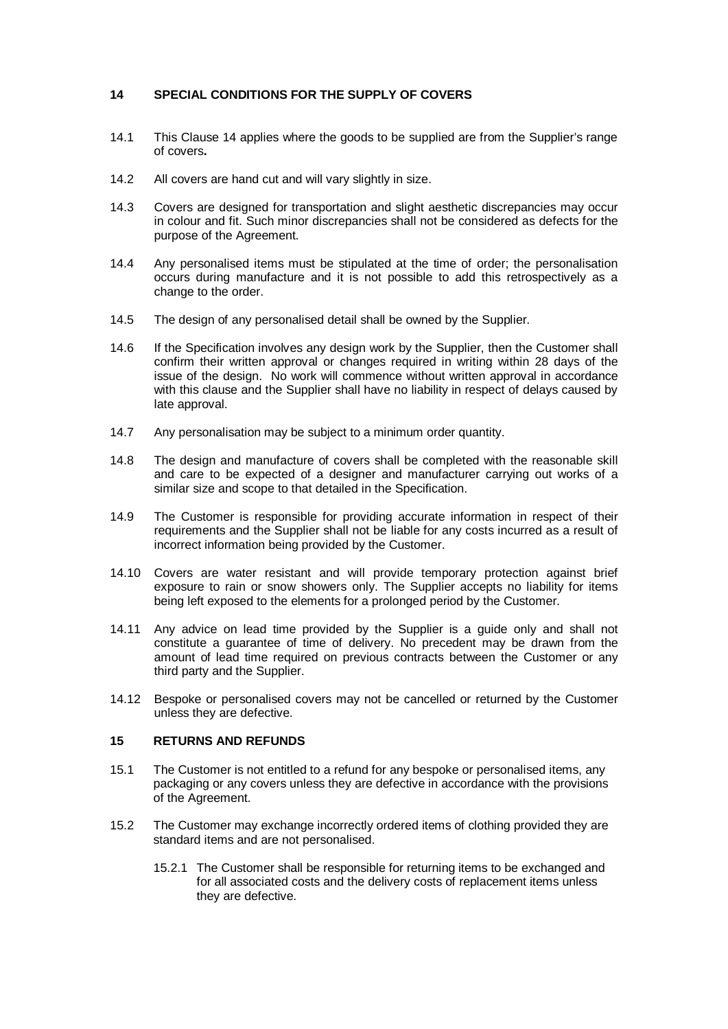# **14 SPECIAL CONDITIONS FOR THE SUPPLY OF COVERS**

- 14.1 This Clause 14 applies where the goods to be supplied are from the Supplier's range of covers**.**
- 14.2 All covers are hand cut and will vary slightly in size.
- 14.3 Covers are designed for transportation and slight aesthetic discrepancies may occur in colour and fit. Such minor discrepancies shall not be considered as defects for the purpose of the Agreement.
- 14.4 Any personalised items must be stipulated at the time of order; the personalisation occurs during manufacture and it is not possible to add this retrospectively as a change to the order.
- 14.5 The design of any personalised detail shall be owned by the Supplier.
- 14.6 If the Specification involves any design work by the Supplier, then the Customer shall confirm their written approval or changes required in writing within 28 days of the issue of the design. No work will commence without written approval in accordance with this clause and the Supplier shall have no liability in respect of delays caused by late approval.
- 14.7 Any personalisation may be subject to a minimum order quantity.
- 14.8 The design and manufacture of covers shall be completed with the reasonable skill and care to be expected of a designer and manufacturer carrying out works of a similar size and scope to that detailed in the Specification.
- 14.9 The Customer is responsible for providing accurate information in respect of their requirements and the Supplier shall not be liable for any costs incurred as a result of incorrect information being provided by the Customer.
- 14.10 Covers are water resistant and will provide temporary protection against brief exposure to rain or snow showers only. The Supplier accepts no liability for items being left exposed to the elements for a prolonged period by the Customer.
- 14.11 Any advice on lead time provided by the Supplier is a guide only and shall not constitute a guarantee of time of delivery. No precedent may be drawn from the amount of lead time required on previous contracts between the Customer or any third party and the Supplier.
- 14.12 Bespoke or personalised covers may not be cancelled or returned by the Customer unless they are defective.

# **15 RETURNS AND REFUNDS**

- 15.1 The Customer is not entitled to a refund for any bespoke or personalised items, any packaging or any covers unless they are defective in accordance with the provisions of the Agreement.
- 15.2 The Customer may exchange incorrectly ordered items of clothing provided they are standard items and are not personalised.
	- 15.2.1 The Customer shall be responsible for returning items to be exchanged and for all associated costs and the delivery costs of replacement items unless they are defective.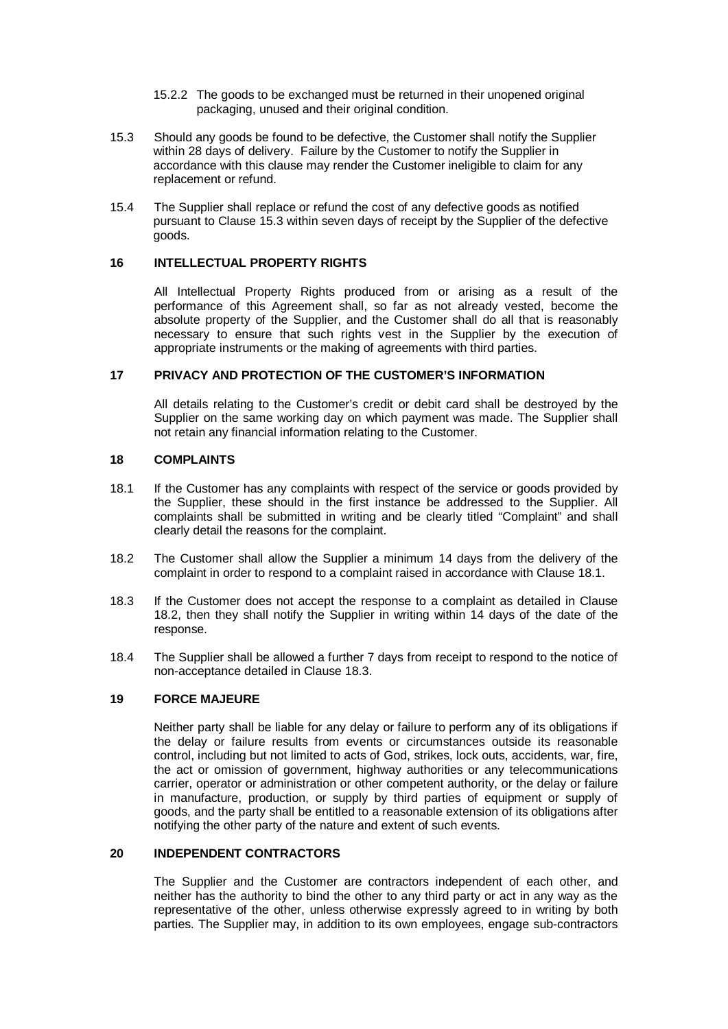- 15.2.2 The goods to be exchanged must be returned in their unopened original packaging, unused and their original condition.
- 15.3 Should any goods be found to be defective, the Customer shall notify the Supplier within 28 days of delivery. Failure by the Customer to notify the Supplier in accordance with this clause may render the Customer ineligible to claim for any replacement or refund.
- 15.4 The Supplier shall replace or refund the cost of any defective goods as notified pursuant to Clause 15.3 within seven days of receipt by the Supplier of the defective goods.

#### **16 INTELLECTUAL PROPERTY RIGHTS**

All Intellectual Property Rights produced from or arising as a result of the performance of this Agreement shall, so far as not already vested, become the absolute property of the Supplier, and the Customer shall do all that is reasonably necessary to ensure that such rights vest in the Supplier by the execution of appropriate instruments or the making of agreements with third parties.

# **17 PRIVACY AND PROTECTION OF THE CUSTOMER'S INFORMATION**

All details relating to the Customer's credit or debit card shall be destroyed by the Supplier on the same working day on which payment was made. The Supplier shall not retain any financial information relating to the Customer.

# **18 COMPLAINTS**

- 18.1 If the Customer has any complaints with respect of the service or goods provided by the Supplier, these should in the first instance be addressed to the Supplier. All complaints shall be submitted in writing and be clearly titled "Complaint" and shall clearly detail the reasons for the complaint.
- 18.2 The Customer shall allow the Supplier a minimum 14 days from the delivery of the complaint in order to respond to a complaint raised in accordance with Clause 18.1.
- 18.3 If the Customer does not accept the response to a complaint as detailed in Clause 18.2, then they shall notify the Supplier in writing within 14 days of the date of the response.
- 18.4 The Supplier shall be allowed a further 7 days from receipt to respond to the notice of non-acceptance detailed in Clause 18.3.

# **19 FORCE MAJEURE**

Neither party shall be liable for any delay or failure to perform any of its obligations if the delay or failure results from events or circumstances outside its reasonable control, including but not limited to acts of God, strikes, lock outs, accidents, war, fire, the act or omission of government, highway authorities or any telecommunications carrier, operator or administration or other competent authority, or the delay or failure in manufacture, production, or supply by third parties of equipment or supply of goods, and the party shall be entitled to a reasonable extension of its obligations after notifying the other party of the nature and extent of such events.

# **20 INDEPENDENT CONTRACTORS**

The Supplier and the Customer are contractors independent of each other, and neither has the authority to bind the other to any third party or act in any way as the representative of the other, unless otherwise expressly agreed to in writing by both parties. The Supplier may, in addition to its own employees, engage sub-contractors